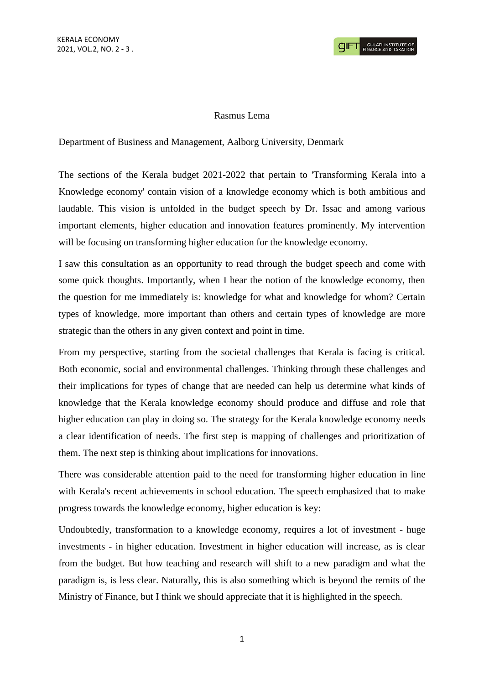## Rasmus Lema

Department of Business and Management, Aalborg University, Denmark

The sections of the Kerala budget 2021-2022 that pertain to 'Transforming Kerala into a Knowledge economy' contain vision of a knowledge economy which is both ambitious and laudable. This vision is unfolded in the budget speech by Dr. Issac and among various important elements, higher education and innovation features prominently. My intervention will be focusing on transforming higher education for the knowledge economy.

I saw this consultation as an opportunity to read through the budget speech and come with some quick thoughts. Importantly, when I hear the notion of the knowledge economy, then the question for me immediately is: knowledge for what and knowledge for whom? Certain types of knowledge, more important than others and certain types of knowledge are more strategic than the others in any given context and point in time.

From my perspective, starting from the societal challenges that Kerala is facing is critical. Both economic, social and environmental challenges. Thinking through these challenges and their implications for types of change that are needed can help us determine what kinds of knowledge that the Kerala knowledge economy should produce and diffuse and role that higher education can play in doing so. The strategy for the Kerala knowledge economy needs a clear identification of needs. The first step is mapping of challenges and prioritization of them. The next step is thinking about implications for innovations.

There was considerable attention paid to the need for transforming higher education in line with Kerala's recent achievements in school education. The speech emphasized that to make progress towards the knowledge economy, higher education is key:

Undoubtedly, transformation to a knowledge economy, requires a lot of investment - huge investments - in higher education. Investment in higher education will increase, as is clear from the budget. But how teaching and research will shift to a new paradigm and what the paradigm is, is less clear. Naturally, this is also something which is beyond the remits of the Ministry of Finance, but I think we should appreciate that it is highlighted in the speech.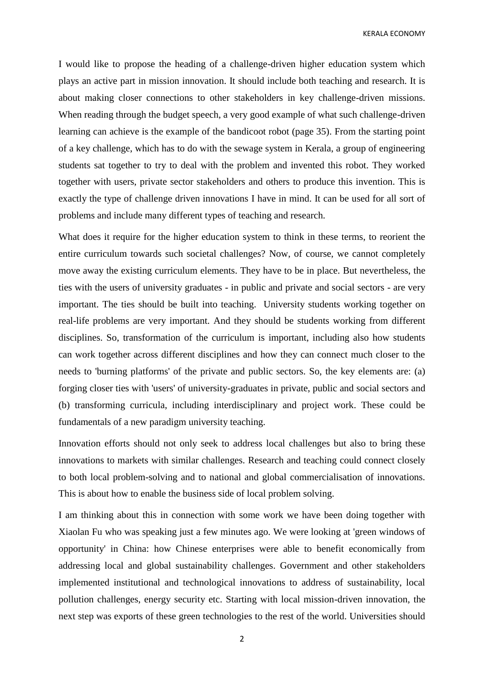KERALA ECONOMY

I would like to propose the heading of a challenge-driven higher education system which plays an active part in mission innovation. It should include both teaching and research. It is about making closer connections to other stakeholders in key challenge-driven missions. When reading through the budget speech, a very good example of what such challenge-driven learning can achieve is the example of the bandicoot robot (page 35). From the starting point of a key challenge, which has to do with the sewage system in Kerala, a group of engineering students sat together to try to deal with the problem and invented this robot. They worked together with users, private sector stakeholders and others to produce this invention. This is exactly the type of challenge driven innovations I have in mind. It can be used for all sort of problems and include many different types of teaching and research.

What does it require for the higher education system to think in these terms, to reorient the entire curriculum towards such societal challenges? Now, of course, we cannot completely move away the existing curriculum elements. They have to be in place. But nevertheless, the ties with the users of university graduates - in public and private and social sectors - are very important. The ties should be built into teaching. University students working together on real-life problems are very important. And they should be students working from different disciplines. So, transformation of the curriculum is important, including also how students can work together across different disciplines and how they can connect much closer to the needs to 'burning platforms' of the private and public sectors. So, the key elements are: (a) forging closer ties with 'users' of university-graduates in private, public and social sectors and (b) transforming curricula, including interdisciplinary and project work. These could be fundamentals of a new paradigm university teaching.

Innovation efforts should not only seek to address local challenges but also to bring these innovations to markets with similar challenges. Research and teaching could connect closely to both local problem-solving and to national and global commercialisation of innovations. This is about how to enable the business side of local problem solving.

I am thinking about this in connection with some work we have been doing together with Xiaolan Fu who was speaking just a few minutes ago. We were looking at 'green windows of opportunity' in China: how Chinese enterprises were able to benefit economically from addressing local and global sustainability challenges. Government and other stakeholders implemented institutional and technological innovations to address of sustainability, local pollution challenges, energy security etc. Starting with local mission-driven innovation, the next step was exports of these green technologies to the rest of the world. Universities should